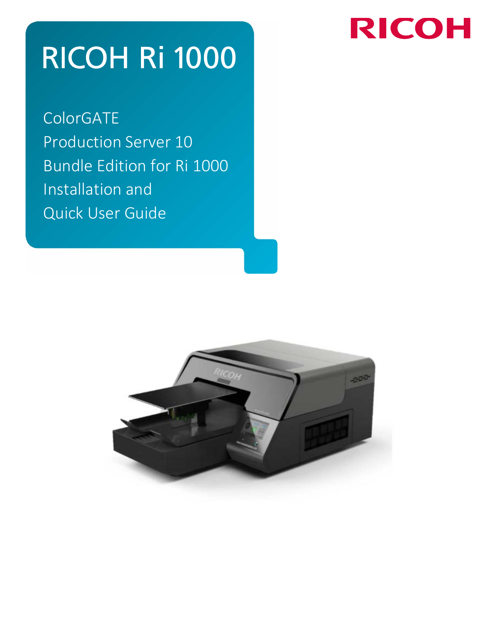# **RICOH**

# RICOH Ri 1000

ColorGATE Production Server 10 Bundle Edition for Ri 1000 Installation and Quick User Guide

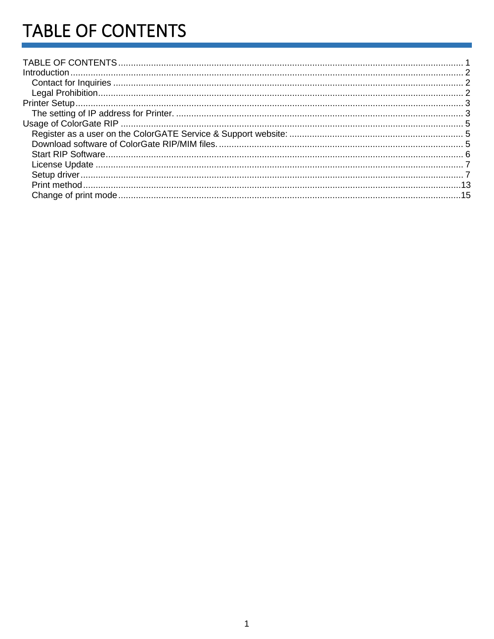# <span id="page-1-0"></span>TABLE OF CONTENTS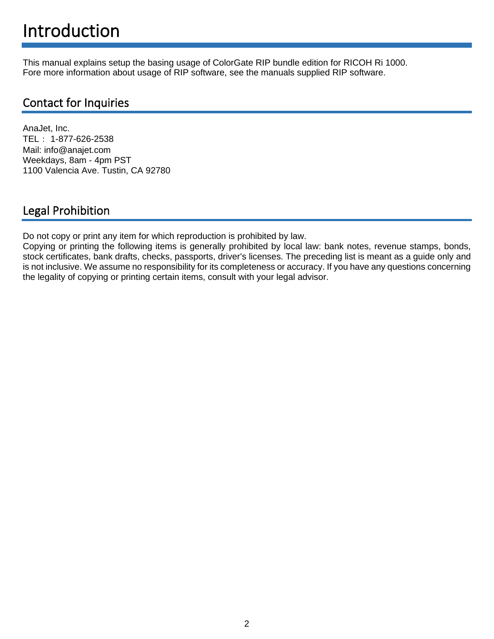# <span id="page-2-0"></span>Introduction

This manual explains setup the basing usage of ColorGate RIP bundle edition for RICOH Ri 1000. Fore more information about usage of RIP software, see the manuals supplied RIP software.

### <span id="page-2-1"></span>Contact for Inquiries

AnaJet, Inc. TEL: 1-877-626-2538 Mail: info@anajet.com Weekdays, 8am - 4pm PST 1100 Valencia Ave. Tustin, CA 92780

### <span id="page-2-2"></span>Legal Prohibition

Do not copy or print any item for which reproduction is prohibited by law.

Copying or printing the following items is generally prohibited by local law: bank notes, revenue stamps, bonds, stock certificates, bank drafts, checks, passports, driver's licenses. The preceding list is meant as a guide only and is not inclusive. We assume no responsibility for its completeness or accuracy. If you have any questions concerning the legality of copying or printing certain items, consult with your legal advisor.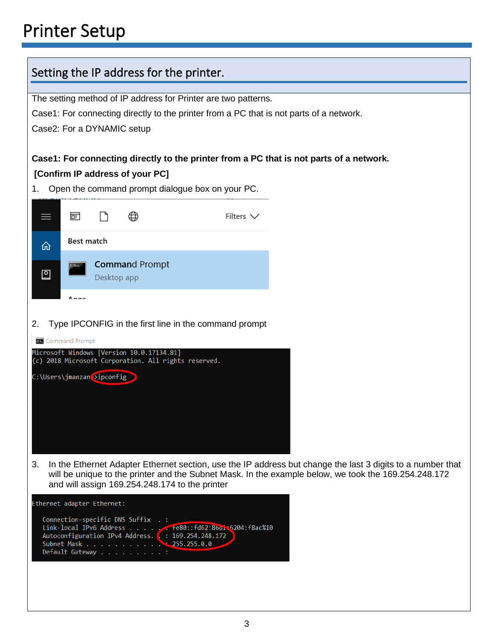<span id="page-3-1"></span><span id="page-3-0"></span>

|    | Setting the IP address for the printer. |                                             |                                                      |                                                                                                            |                |                                                                                         |                                                                                                            |
|----|-----------------------------------------|---------------------------------------------|------------------------------------------------------|------------------------------------------------------------------------------------------------------------|----------------|-----------------------------------------------------------------------------------------|------------------------------------------------------------------------------------------------------------|
|    |                                         |                                             |                                                      |                                                                                                            |                |                                                                                         |                                                                                                            |
|    |                                         |                                             |                                                      | The setting method of IP address for Printer are two patterns.                                             |                |                                                                                         |                                                                                                            |
|    |                                         |                                             |                                                      |                                                                                                            |                | Case1: For connecting directly to the printer from a PC that is not parts of a network. |                                                                                                            |
|    |                                         | Case2: For a DYNAMIC setup                  |                                                      |                                                                                                            |                |                                                                                         |                                                                                                            |
|    |                                         |                                             |                                                      |                                                                                                            |                |                                                                                         |                                                                                                            |
|    |                                         |                                             |                                                      |                                                                                                            |                | Case1: For connecting directly to the printer from a PC that is not parts of a network. |                                                                                                            |
|    |                                         |                                             | [Confirm IP address of your PC]                      |                                                                                                            |                |                                                                                         |                                                                                                            |
| 1. |                                         |                                             |                                                      | Open the command prompt dialogue box on your PC.                                                           |                |                                                                                         |                                                                                                            |
|    |                                         |                                             |                                                      |                                                                                                            |                |                                                                                         |                                                                                                            |
|    | ᇡ                                       |                                             | ⊕                                                    |                                                                                                            | Filters $\vee$ |                                                                                         |                                                                                                            |
|    | Best match                              |                                             |                                                      |                                                                                                            |                |                                                                                         |                                                                                                            |
| ⋒  |                                         |                                             |                                                      |                                                                                                            |                |                                                                                         |                                                                                                            |
|    |                                         |                                             | <b>Command Prompt</b>                                |                                                                                                            |                |                                                                                         |                                                                                                            |
| 凹  |                                         | Desktop app                                 |                                                      |                                                                                                            |                |                                                                                         |                                                                                                            |
|    | $A_{max}$                               |                                             |                                                      |                                                                                                            |                |                                                                                         |                                                                                                            |
|    |                                         |                                             |                                                      |                                                                                                            |                |                                                                                         |                                                                                                            |
| 2. |                                         |                                             |                                                      | Type IPCONFIG in the first line in the command prompt                                                      |                |                                                                                         |                                                                                                            |
|    | <b>Command Prompt</b>                   |                                             |                                                      |                                                                                                            |                |                                                                                         |                                                                                                            |
|    |                                         |                                             | Microsoft Windows [Version 10.0.17134.81]            |                                                                                                            |                |                                                                                         |                                                                                                            |
|    |                                         |                                             | (c) 2018 Microsoft Corporation. All rights reserved. |                                                                                                            |                |                                                                                         |                                                                                                            |
|    |                                         | C:\Users\jmanzan <mark>o&gt;ipconfig</mark> |                                                      |                                                                                                            |                |                                                                                         |                                                                                                            |
|    |                                         |                                             |                                                      |                                                                                                            |                |                                                                                         |                                                                                                            |
|    |                                         |                                             |                                                      |                                                                                                            |                |                                                                                         |                                                                                                            |
|    |                                         |                                             |                                                      |                                                                                                            |                |                                                                                         |                                                                                                            |
|    |                                         |                                             |                                                      |                                                                                                            |                |                                                                                         |                                                                                                            |
|    |                                         |                                             |                                                      |                                                                                                            |                |                                                                                         |                                                                                                            |
| 3. |                                         |                                             |                                                      |                                                                                                            |                |                                                                                         | In the Ethernet Adapter Ethernet section, use the IP address but change the last 3 digits to a number that |
|    |                                         |                                             | and will assign 169.254.248.174 to the printer       |                                                                                                            |                |                                                                                         | will be unique to the printer and the Subnet Mask. In the example below, we took the 169.254.248.172       |
|    |                                         |                                             |                                                      |                                                                                                            |                |                                                                                         |                                                                                                            |
|    |                                         | Ethernet adapter Ethernet:                  |                                                      |                                                                                                            |                |                                                                                         |                                                                                                            |
|    |                                         |                                             | Connection-specific DNS Suffix . :                   |                                                                                                            |                |                                                                                         |                                                                                                            |
|    |                                         |                                             |                                                      | Link-local IPv6 Address 1880::fd62:86a1:6204:f8ac%10<br>Autoconfiguration IPv4 Address. .: 169.254.248.172 |                |                                                                                         |                                                                                                            |
|    |                                         |                                             | Subnet Mask 255.255.0.0<br>Default Gateway :         |                                                                                                            |                |                                                                                         |                                                                                                            |
|    |                                         |                                             |                                                      |                                                                                                            |                |                                                                                         |                                                                                                            |
|    |                                         |                                             |                                                      |                                                                                                            |                |                                                                                         |                                                                                                            |
|    |                                         |                                             |                                                      |                                                                                                            |                |                                                                                         |                                                                                                            |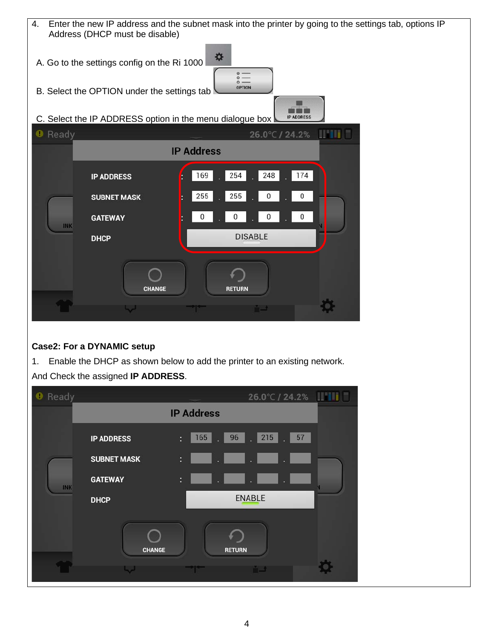

#### **Case2: For a DYNAMIC setup**

- 1. Enable the DHCP as shown below to add the printer to an existing network.
- And Check the assigned **IP ADDRESS**.

| <b>O</b> Ready |                    | 26.0°C / 24.2%              |  |  |  |  |  |
|----------------|--------------------|-----------------------------|--|--|--|--|--|
|                | <b>IP Address</b>  |                             |  |  |  |  |  |
|                | <b>IP ADDRESS</b>  | 96<br>215<br>165<br>57<br>H |  |  |  |  |  |
|                | <b>SUBNET MASK</b> | F.                          |  |  |  |  |  |
| <b>INK</b>     | <b>GATEWAY</b>     | ř,<br>k.<br>i.              |  |  |  |  |  |
|                | <b>DHCP</b>        | <b>ENABLE</b>               |  |  |  |  |  |
|                | <b>CHANGE</b>      | <b>RETURN</b>               |  |  |  |  |  |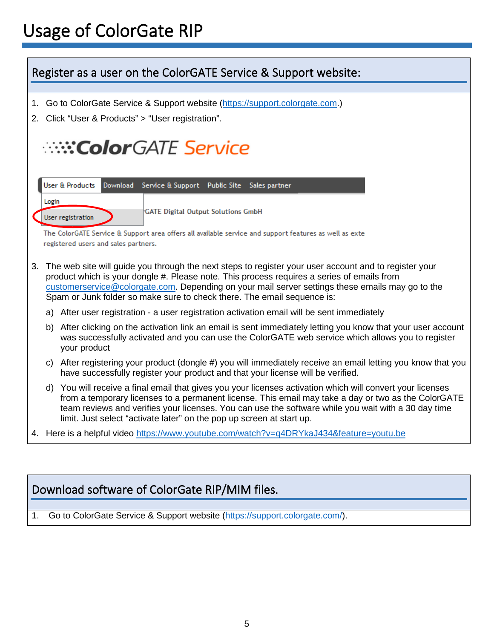<span id="page-5-1"></span><span id="page-5-0"></span>

| Register as a user on the ColorGATE Service & Support website:                                                                                                                                                     |  |  |  |  |  |  |  |  |
|--------------------------------------------------------------------------------------------------------------------------------------------------------------------------------------------------------------------|--|--|--|--|--|--|--|--|
|                                                                                                                                                                                                                    |  |  |  |  |  |  |  |  |
| 1. Go to ColorGate Service & Support website (https://support.colorgate.com.)                                                                                                                                      |  |  |  |  |  |  |  |  |
| 2. Click "User & Products" > "User registration".                                                                                                                                                                  |  |  |  |  |  |  |  |  |
|                                                                                                                                                                                                                    |  |  |  |  |  |  |  |  |
| <b><i><u>MATE Service</u></i></b>                                                                                                                                                                                  |  |  |  |  |  |  |  |  |
|                                                                                                                                                                                                                    |  |  |  |  |  |  |  |  |
|                                                                                                                                                                                                                    |  |  |  |  |  |  |  |  |
| User & Products<br>Download Service & Support Public Site Sales partner                                                                                                                                            |  |  |  |  |  |  |  |  |
| Login                                                                                                                                                                                                              |  |  |  |  |  |  |  |  |
| <b>GATE Digital Output Solutions GmbH</b><br>User registration                                                                                                                                                     |  |  |  |  |  |  |  |  |
| The ColorGATE Service & Support area offers all available service and support features as well as exter                                                                                                            |  |  |  |  |  |  |  |  |
| registered users and sales partners.                                                                                                                                                                               |  |  |  |  |  |  |  |  |
| The web site will guide you through the next steps to register your user account and to register your<br>3.                                                                                                        |  |  |  |  |  |  |  |  |
| product which is your dongle #. Please note. This process requires a series of emails from                                                                                                                         |  |  |  |  |  |  |  |  |
| customerservice@colorgate.com. Depending on your mail server settings these emails may go to the<br>Spam or Junk folder so make sure to check there. The email sequence is:                                        |  |  |  |  |  |  |  |  |
|                                                                                                                                                                                                                    |  |  |  |  |  |  |  |  |
| a) After user registration - a user registration activation email will be sent immediately                                                                                                                         |  |  |  |  |  |  |  |  |
| b) After clicking on the activation link an email is sent immediately letting you know that your user account<br>was successfully activated and you can use the ColorGATE web service which allows you to register |  |  |  |  |  |  |  |  |
| your product                                                                                                                                                                                                       |  |  |  |  |  |  |  |  |
| c) After registering your product (dongle #) you will immediately receive an email letting you know that you                                                                                                       |  |  |  |  |  |  |  |  |
| have successfully register your product and that your license will be verified.                                                                                                                                    |  |  |  |  |  |  |  |  |
| d) You will receive a final email that gives you your licenses activation which will convert your licenses                                                                                                         |  |  |  |  |  |  |  |  |
| from a temporary licenses to a permanent license. This email may take a day or two as the ColorGATE<br>team reviews and verifies your licenses. You can use the software while you wait with a 30 day time         |  |  |  |  |  |  |  |  |
| limit. Just select "activate later" on the pop up screen at start up.                                                                                                                                              |  |  |  |  |  |  |  |  |
| 4. Here is a helpful video https://www.youtube.com/watch?v=q4DRYkaJ434&feature=youtu.be                                                                                                                            |  |  |  |  |  |  |  |  |
|                                                                                                                                                                                                                    |  |  |  |  |  |  |  |  |

# <span id="page-5-2"></span>Download software of ColorGate RIP/MIM files.

1. Go to ColorGate Service & Support website [\(https://support.colorgate.com/\)](https://support.colorgate.com/).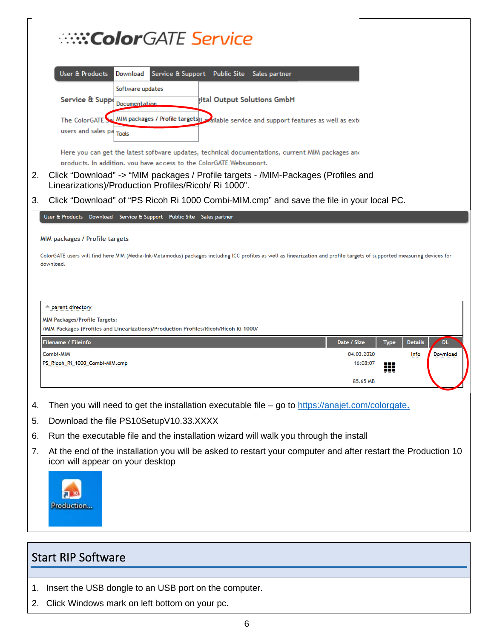|    |                                                                                 | <b><i>A</i>RE</b> Service                                            |                                                                                                                                                                                                                                                              |                                                                                                                                                                          |                             |
|----|---------------------------------------------------------------------------------|----------------------------------------------------------------------|--------------------------------------------------------------------------------------------------------------------------------------------------------------------------------------------------------------------------------------------------------------|--------------------------------------------------------------------------------------------------------------------------------------------------------------------------|-----------------------------|
|    | <b>User &amp; Products</b>                                                      | Download                                                             | Service & Support Public Site Sales partner                                                                                                                                                                                                                  |                                                                                                                                                                          |                             |
|    |                                                                                 | Software updates                                                     |                                                                                                                                                                                                                                                              |                                                                                                                                                                          |                             |
|    | Service & Suppe                                                                 | Documentation                                                        | tital Output Solutions GmbH                                                                                                                                                                                                                                  |                                                                                                                                                                          |                             |
|    | The ColorGATE Se                                                                |                                                                      | MIM packages / Profile targets JU ailable service and support features as well as exte                                                                                                                                                                       |                                                                                                                                                                          |                             |
|    | users and sales pa Tools                                                        |                                                                      |                                                                                                                                                                                                                                                              |                                                                                                                                                                          |                             |
| 2. |                                                                                 | Linearizations)/Production Profiles/Ricoh/ Ri 1000".                 | Here you can get the latest software updates, technical documentations, current MIM packages and<br>products. In addition, you have access to the ColorGATE Websupport.<br>Click "Download" -> "MIM packages / Profile targets - /MIM-Packages (Profiles and |                                                                                                                                                                          |                             |
| 3. |                                                                                 |                                                                      |                                                                                                                                                                                                                                                              | Click "Download" of "PS Ricoh Ri 1000 Combi-MIM.cmp" and save the file in your local PC.                                                                                 |                             |
|    |                                                                                 | User & Products Download Service & Support Public Site Sales partner |                                                                                                                                                                                                                                                              |                                                                                                                                                                          |                             |
|    | <b>MIM packages / Profile targets</b>                                           |                                                                      |                                                                                                                                                                                                                                                              |                                                                                                                                                                          |                             |
|    | download.<br>$\hat{~}$ parent directory<br><b>MIM Packages/Profile Targets:</b> |                                                                      | /MIM-Packages (Profiles and Linearizations)/Production Profiles/Ricoh/Ricoh Ri 1000/                                                                                                                                                                         | ColorGATE users will find here MIM (Media-Ink-Metamodus) packages including ICC profiles as well as linearization and profile targets of supported measuring devices for |                             |
|    | <b>Filename / Fileinfo</b>                                                      |                                                                      |                                                                                                                                                                                                                                                              | Date / Size<br><b>Type</b>                                                                                                                                               | <b>DL</b><br><b>Details</b> |
|    | <b>Combi-MIM</b>                                                                |                                                                      |                                                                                                                                                                                                                                                              | 04.03.2020                                                                                                                                                               | Download<br>Info            |
|    | PS_Ricoh_Ri_1000_Combi-MIM.cmp                                                  |                                                                      |                                                                                                                                                                                                                                                              | 16:08:07                                                                                                                                                                 |                             |
|    |                                                                                 |                                                                      |                                                                                                                                                                                                                                                              | 85.65 MB                                                                                                                                                                 |                             |
| 4. |                                                                                 |                                                                      |                                                                                                                                                                                                                                                              | Then you will need to get the installation executable file - go to https://anajet.com/colorgate.                                                                         |                             |
| 5. |                                                                                 | Download the file PS10SetupV10.33.XXXX                               |                                                                                                                                                                                                                                                              |                                                                                                                                                                          |                             |
| 6. |                                                                                 |                                                                      | Run the executable file and the installation wizard will walk you through the install                                                                                                                                                                        |                                                                                                                                                                          |                             |
| 7. | icon will appear on your desktop                                                |                                                                      |                                                                                                                                                                                                                                                              | At the end of the installation you will be asked to restart your computer and after restart the Production 10                                                            |                             |

## <span id="page-6-0"></span>Start RIP Software

- 1. Insert the USB dongle to an USB port on the computer.
- 2. Click Windows mark on left bottom on your pc.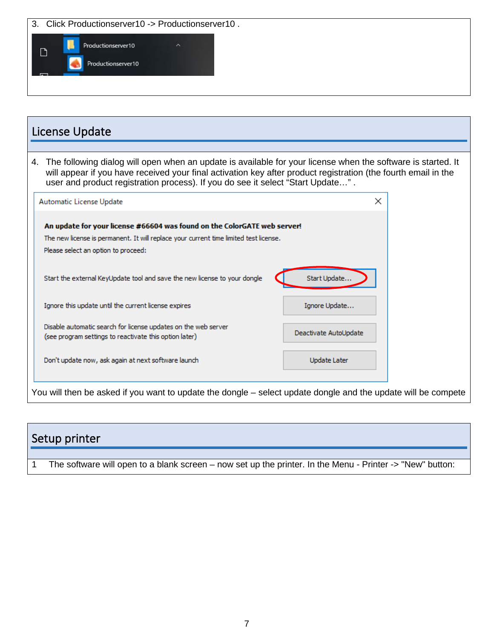

<span id="page-7-0"></span>

| License Update                                                                                                                                                                                                                                                                                                          |                       |
|-------------------------------------------------------------------------------------------------------------------------------------------------------------------------------------------------------------------------------------------------------------------------------------------------------------------------|-----------------------|
|                                                                                                                                                                                                                                                                                                                         |                       |
| The following dialog will open when an update is available for your license when the software is started. It<br>4.<br>will appear if you have received your final activation key after product registration (the fourth email in the<br>user and product registration process). If you do see it select "Start Update". |                       |
| Automatic License Update                                                                                                                                                                                                                                                                                                | ×                     |
| An update for your license #66604 was found on the ColorGATE web server!<br>The new license is permanent. It will replace your current time limited test license.<br>Please select an option to proceed:                                                                                                                |                       |
| Start the external KeyUpdate tool and save the new license to your dongle                                                                                                                                                                                                                                               | Start Update          |
| Ignore this update until the current license expires                                                                                                                                                                                                                                                                    | Ignore Update         |
| Disable automatic search for license updates on the web server<br>(see program settings to reactivate this option later)                                                                                                                                                                                                | Deactivate AutoUpdate |
| Don't update now, ask again at next software launch                                                                                                                                                                                                                                                                     | <b>Update Later</b>   |
| You will then be asked if you want to update the dongle – select update dongle and the update will be compete                                                                                                                                                                                                           |                       |

<span id="page-7-1"></span>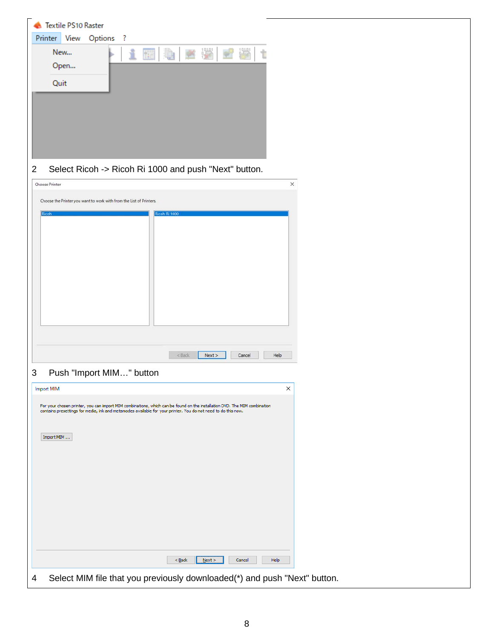|              | Textile PS10 Raster |           |  |   |  |   |   |  |
|--------------|---------------------|-----------|--|---|--|---|---|--|
| Printer View |                     | Options ? |  |   |  |   |   |  |
|              | New                 |           |  | 帽 |  | 鼺 | 鼺 |  |
|              | Open                |           |  |   |  |   |   |  |
| Quit         |                     |           |  |   |  |   |   |  |
|              |                     |           |  |   |  |   |   |  |
|              |                     |           |  |   |  |   |   |  |
|              |                     |           |  |   |  |   |   |  |
|              |                     |           |  |   |  |   |   |  |
|              |                     |           |  |   |  |   |   |  |

Select Ricoh -> Ricoh Ri 1000 and push "Next" button.

| Choose Printer                                                                                                                     |                                                                                                                           | × |
|------------------------------------------------------------------------------------------------------------------------------------|---------------------------------------------------------------------------------------------------------------------------|---|
| Choose the Printer you want to work with from the List of Printers.                                                                |                                                                                                                           |   |
| Ricoh                                                                                                                              | Ricoh Ri 1000                                                                                                             |   |
|                                                                                                                                    |                                                                                                                           |   |
|                                                                                                                                    |                                                                                                                           |   |
|                                                                                                                                    |                                                                                                                           |   |
|                                                                                                                                    |                                                                                                                           |   |
|                                                                                                                                    |                                                                                                                           |   |
|                                                                                                                                    |                                                                                                                           |   |
|                                                                                                                                    |                                                                                                                           |   |
|                                                                                                                                    |                                                                                                                           |   |
|                                                                                                                                    |                                                                                                                           |   |
|                                                                                                                                    |                                                                                                                           |   |
|                                                                                                                                    |                                                                                                                           |   |
|                                                                                                                                    | Next<br><back<br>Cancel<br/>Help</back<br>                                                                                |   |
|                                                                                                                                    |                                                                                                                           |   |
|                                                                                                                                    |                                                                                                                           |   |
| Push "Import MIM" button                                                                                                           |                                                                                                                           |   |
|                                                                                                                                    |                                                                                                                           |   |
|                                                                                                                                    | $\times$                                                                                                                  |   |
|                                                                                                                                    | For your chosen printer, you can import MIM combinations, which can be found on the installation DVD. The MIM combination |   |
|                                                                                                                                    |                                                                                                                           |   |
|                                                                                                                                    |                                                                                                                           |   |
| Import MIM                                                                                                                         |                                                                                                                           |   |
|                                                                                                                                    |                                                                                                                           |   |
|                                                                                                                                    |                                                                                                                           |   |
|                                                                                                                                    |                                                                                                                           |   |
|                                                                                                                                    |                                                                                                                           |   |
|                                                                                                                                    |                                                                                                                           |   |
|                                                                                                                                    |                                                                                                                           |   |
| <b>Import MIM</b><br>contains presettings for media, ink and metamodes available for your printer. You do not need to do this now. |                                                                                                                           |   |
|                                                                                                                                    |                                                                                                                           |   |
|                                                                                                                                    |                                                                                                                           |   |
|                                                                                                                                    | $N$ ext ><br>Cancel<br>Help<br>$Back$                                                                                     |   |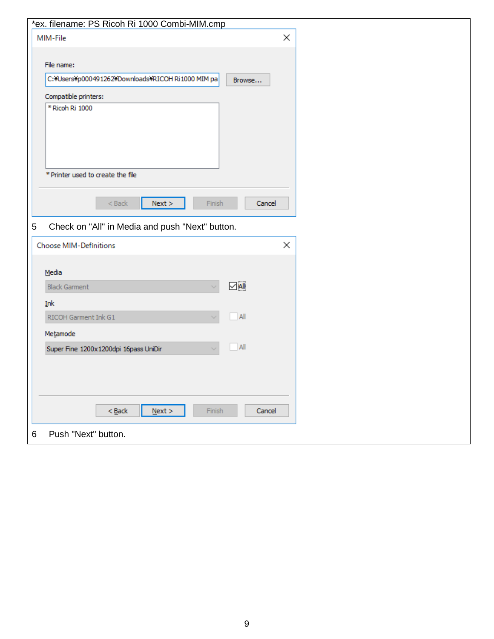| *ex. filename: PS Ricoh Ri 1000 Combi-MIM.cmp                  |   |
|----------------------------------------------------------------|---|
| MIM-File                                                       | × |
|                                                                |   |
| File name:                                                     |   |
| C:\Users\p000491262\Downloads\RICOH Ri1000 MIM pa<br>Browse    |   |
| Compatible printers:                                           |   |
| * Ricoh Ri 1000                                                |   |
|                                                                |   |
|                                                                |   |
|                                                                |   |
|                                                                |   |
| * Printer used to create the file                              |   |
|                                                                |   |
| Next ><br>$Back$<br>Finish<br>Cancel                           |   |
|                                                                |   |
| Check on "All" in Media and push "Next" button.<br>$\mathbf 5$ |   |
| <b>Choose MIM-Definitions</b>                                  | × |
|                                                                |   |
| Media                                                          |   |
| $\Box$ All<br><b>Black Garment</b>                             |   |
| Ink                                                            |   |
| All<br>RICOH Garment Ink G1                                    |   |
| Metamode                                                       |   |
| All<br>Super Fine 1200x1200dpi 16pass UniDir                   |   |
|                                                                |   |
|                                                                |   |
|                                                                |   |
|                                                                |   |
| $N$ ext ><br>$<$ Back<br>Cancel<br>Finish                      |   |
| Push "Next" button.<br>$\,6$                                   |   |
|                                                                |   |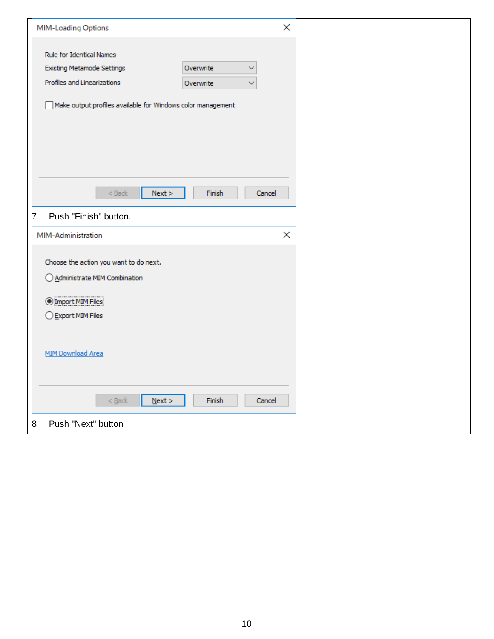| <b>MIM-Loading Options</b>                                  | ×                |  |
|-------------------------------------------------------------|------------------|--|
| Rule for Identical Names                                    |                  |  |
| <b>Existing Metamode Settings</b>                           | Overwrite        |  |
| Profiles and Linearizations                                 | Overwrite        |  |
| Make output profiles available for Windows color management |                  |  |
|                                                             |                  |  |
| Next ><br>$Back$                                            | Finish<br>Cancel |  |
| Push "Finish" button.<br>$\overline{7}$                     |                  |  |
| MIM-Administration                                          | ×                |  |
| Choose the action you want to do next.                      |                  |  |
| ◯ Administrate MIM Combination                              |                  |  |
| <b>O</b> Import MIM Files                                   |                  |  |
| ◯ Export MIM Files                                          |                  |  |
|                                                             |                  |  |
| MIM Download Area                                           |                  |  |
|                                                             |                  |  |
| $< \underline{\text{Back}}$<br>$N$ ext >                    | Finish<br>Cancel |  |
| Push "Next" button<br>8                                     |                  |  |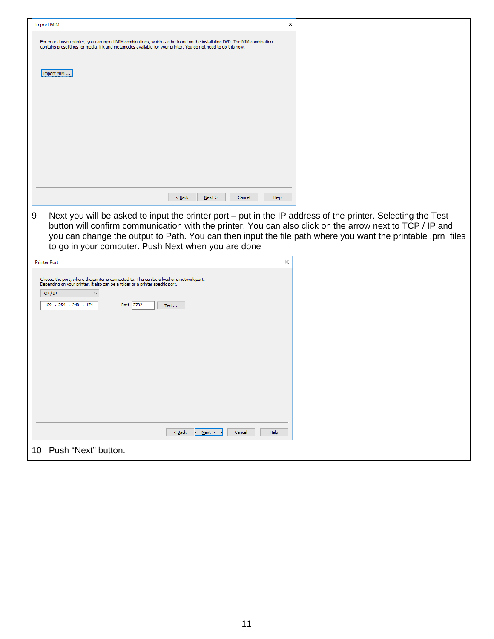| <b>Import MIM</b>                                                                                                                                                                                                                                                                                                                                                                                  | × |
|----------------------------------------------------------------------------------------------------------------------------------------------------------------------------------------------------------------------------------------------------------------------------------------------------------------------------------------------------------------------------------------------------|---|
| For your chosen printer, you can import MIM combinations, which can be found on the installation DVD. The MIM combination<br>contains presettings for media, ink and metamodes available for your printer. You do not need to do this now.<br>Import MIM                                                                                                                                           |   |
|                                                                                                                                                                                                                                                                                                                                                                                                    |   |
| $<$ Back<br>Next<br>Cancel<br>Help                                                                                                                                                                                                                                                                                                                                                                 |   |
| Next you will be asked to input the printer port – put in the IP address of the printer. Selecting the Test<br>9<br>button will confirm communication with the printer. You can also click on the arrow next to TCP / IP and<br>you can change the output to Path. You can then input the file path where you want the printable .prn files<br>to go in your computer. Push Next when you are done |   |
| <b>Printer Port</b>                                                                                                                                                                                                                                                                                                                                                                                | × |
| Choose the port, where the printer is connected to. This can be a local or a network port.<br>Depending on your printer, it also can be a folder or a printer specific port.<br>TCP / IP<br>Port 3782<br>169 . 254 . 248 . 174<br>Test                                                                                                                                                             |   |
| $<$ Back<br>Cancel<br>Next ><br>Help                                                                                                                                                                                                                                                                                                                                                               |   |
| 10 Push "Next" button.                                                                                                                                                                                                                                                                                                                                                                             |   |
|                                                                                                                                                                                                                                                                                                                                                                                                    |   |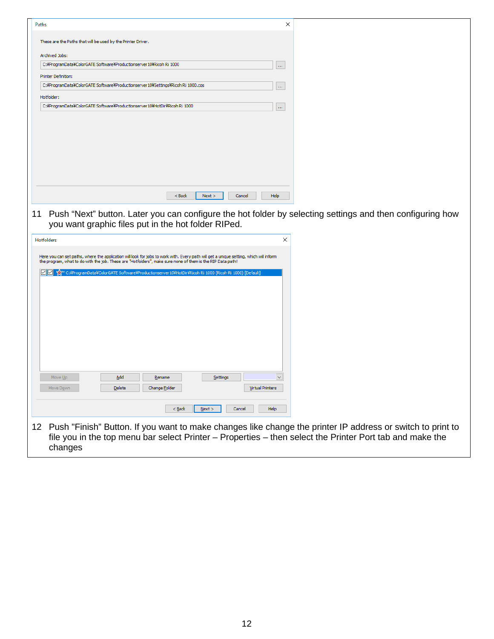| ×<br>Paths                                                                                                                             |  |
|----------------------------------------------------------------------------------------------------------------------------------------|--|
| These are the Paths that will be used by the Printer Driver.                                                                           |  |
| Archived Jobs:                                                                                                                         |  |
| C:\ProgramData\ColorGATE Software\Productionserver 10\Ricoh Ri 1000<br>m.                                                              |  |
| <b>Printer Definition:</b>                                                                                                             |  |
| C:\ProgramData\ColorGATE Software\Productionserver10\Settings\Ricoh Ri 1000.cos<br>m,                                                  |  |
| Hotfolder:                                                                                                                             |  |
| C: #ProgramData #ColorGATE Software #Productionserver 10 #HotDir #Ricoh Ri 1000<br>$\ldots$                                            |  |
|                                                                                                                                        |  |
|                                                                                                                                        |  |
|                                                                                                                                        |  |
|                                                                                                                                        |  |
|                                                                                                                                        |  |
|                                                                                                                                        |  |
|                                                                                                                                        |  |
|                                                                                                                                        |  |
| $<$ Back<br>Next<br>Cancel<br>Help                                                                                                     |  |
|                                                                                                                                        |  |
| Push "Next" button. Later you can configure the hot folder by selecting settings and then configuring how<br>11                        |  |
| you want graphic files put in the hot folder RIPed.                                                                                    |  |
| ×<br>Hotfolders                                                                                                                        |  |
|                                                                                                                                        |  |
| Here you can set paths, where the application will look for jobs to work with. Every path will get a unique setting, which will inform |  |
| the program, what to do with the job. These are "Hotfolders", make sure none of them is the RIP Data path!                             |  |
| ☑⊠<br>Ser C:\ProgramData\ColorGATE Software\Productionserver10\HotDir\Ricoh Ri 1000 (Ricoh Ri 1000) [Default]                          |  |
|                                                                                                                                        |  |
|                                                                                                                                        |  |
|                                                                                                                                        |  |
|                                                                                                                                        |  |
|                                                                                                                                        |  |
|                                                                                                                                        |  |
|                                                                                                                                        |  |
|                                                                                                                                        |  |
|                                                                                                                                        |  |
|                                                                                                                                        |  |
| Move Up<br>Add<br>Rename<br>Settings<br>$\backsim$                                                                                     |  |
| <b>Delete</b><br>Change <b>Folder</b><br><b>Virtual Printers</b><br>Move Down                                                          |  |
|                                                                                                                                        |  |
| $<$ Back<br>$N$ ext ><br>Cancel<br>Help                                                                                                |  |
| Push "Finish" Button. If you want to make changes like change the printer IP address or switch to print to<br>12                       |  |
| file you in the top menu bar select Printer - Properties - then select the Printer Port tab and make the                               |  |
|                                                                                                                                        |  |
| changes                                                                                                                                |  |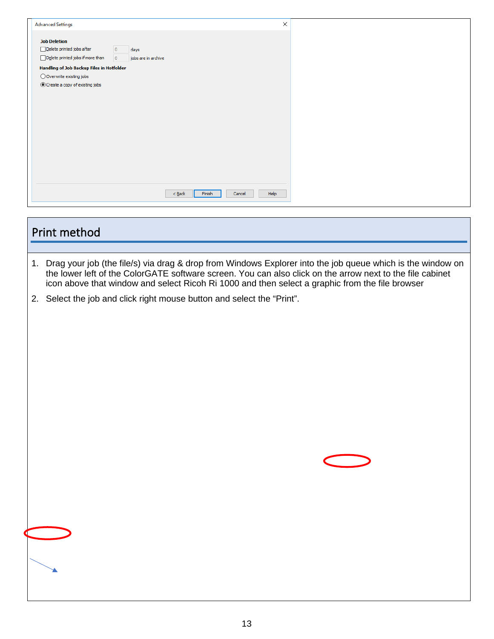| <b>Advanced Settings</b>                                                                                                                           | X              |  |
|----------------------------------------------------------------------------------------------------------------------------------------------------|----------------|--|
| <b>Job Deletion</b><br>□ Delete printed jobs after<br>$\circ$<br>days<br>Delete printed jobs if more than<br>$\overline{0}$<br>jobs are in archive |                |  |
| Handling of Job Backup Files in Hotfolder                                                                                                          |                |  |
| $\bigcirc$ Overwrite existing jobs                                                                                                                 |                |  |
| ● Create a copy of existing jobs                                                                                                                   |                |  |
|                                                                                                                                                    |                |  |
|                                                                                                                                                    |                |  |
|                                                                                                                                                    |                |  |
|                                                                                                                                                    |                |  |
|                                                                                                                                                    |                |  |
|                                                                                                                                                    |                |  |
|                                                                                                                                                    |                |  |
|                                                                                                                                                    |                |  |
|                                                                                                                                                    |                |  |
| Finish<br>$Back$                                                                                                                                   | Help<br>Cancel |  |
|                                                                                                                                                    |                |  |

<span id="page-13-0"></span>

| Print method                                                                                                                                                                                                                                                                                                                  |
|-------------------------------------------------------------------------------------------------------------------------------------------------------------------------------------------------------------------------------------------------------------------------------------------------------------------------------|
|                                                                                                                                                                                                                                                                                                                               |
| 1. Drag your job (the file/s) via drag & drop from Windows Explorer into the job queue which is the window on<br>the lower left of the ColorGATE software screen. You can also click on the arrow next to the file cabinet<br>icon above that window and select Ricoh Ri 1000 and then select a graphic from the file browser |
| 2. Select the job and click right mouse button and select the "Print".                                                                                                                                                                                                                                                        |
|                                                                                                                                                                                                                                                                                                                               |
|                                                                                                                                                                                                                                                                                                                               |
|                                                                                                                                                                                                                                                                                                                               |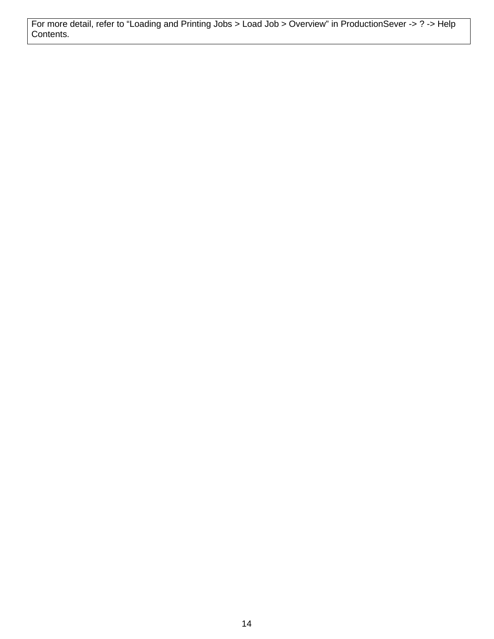For more detail, refer to "Loading and Printing Jobs > Load Job > Overview" in ProductionSever -> ? -> Help Contents.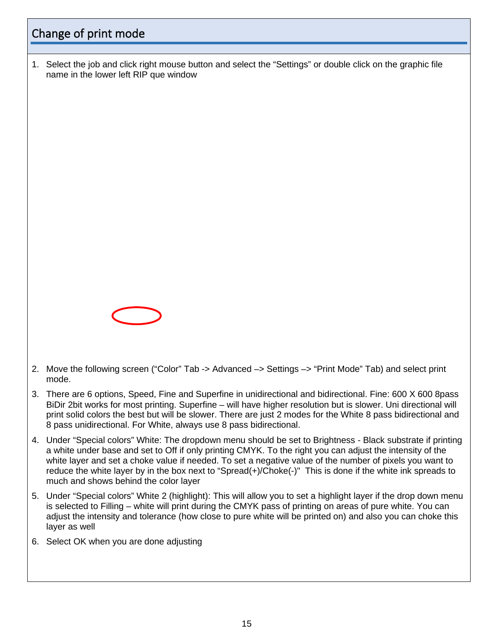## <span id="page-15-0"></span>Change of print mode

| 1. Select the job and click right mouse button and select the "Settings" or double click on the graphic file |
|--------------------------------------------------------------------------------------------------------------|
| name in the lower left RIP que window                                                                        |



- 2. Move the following screen ("Color" Tab -> Advanced –> Settings –> "Print Mode" Tab) and select print mode.
- 3. There are 6 options, Speed, Fine and Superfine in unidirectional and bidirectional. Fine: 600 X 600 8pass BiDir 2bit works for most printing. Superfine – will have higher resolution but is slower. Uni directional will print solid colors the best but will be slower. There are just 2 modes for the White 8 pass bidirectional and 8 pass unidirectional. For White, always use 8 pass bidirectional.
- 4. Under "Special colors" White: The dropdown menu should be set to Brightness Black substrate if printing a white under base and set to Off if only printing CMYK. To the right you can adjust the intensity of the white layer and set a choke value if needed. To set a negative value of the number of pixels you want to reduce the white layer by in the box next to "Spread(+)/Choke(-)" This is done if the white ink spreads to much and shows behind the color layer
- 5. Under "Special colors" White 2 (highlight): This will allow you to set a highlight layer if the drop down menu is selected to Filling – white will print during the CMYK pass of printing on areas of pure white. You can adjust the intensity and tolerance (how close to pure white will be printed on) and also you can choke this layer as well
- 6. Select OK when you are done adjusting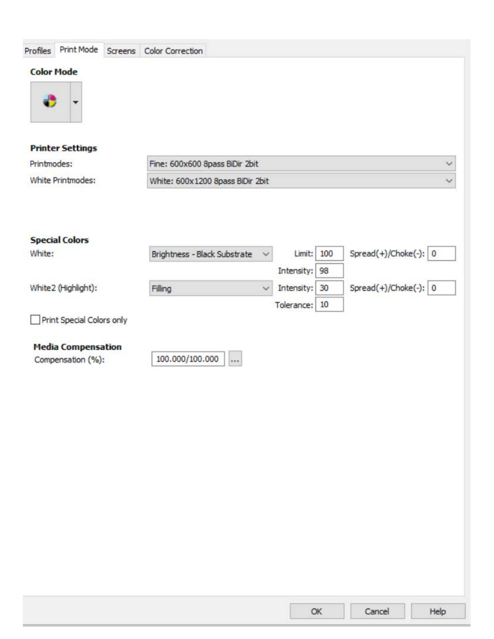| <b>Print Mode</b><br>Profiles          | Screens Color Correction                                                                 |
|----------------------------------------|------------------------------------------------------------------------------------------|
| <b>Color Mode</b>                      |                                                                                          |
| æ<br>۰                                 |                                                                                          |
|                                        |                                                                                          |
|                                        |                                                                                          |
| <b>Printer Settings</b><br>Printmodes: | Fine: 600x600 8pass BiDir 2bit<br>$\checkmark$                                           |
| White Printmodes:                      | $\checkmark$<br>White: 600x1200 8pass BiDir 2bit                                         |
|                                        |                                                                                          |
|                                        |                                                                                          |
| <b>Special Colors</b>                  |                                                                                          |
| White:                                 | $Spread(+)/Choke(-): 0$<br>Brightness - Black Substrate<br>Limit:<br>100<br>$\checkmark$ |
|                                        | Intensity:<br>98                                                                         |
| White2 (Highlight):                    | Spread(+)/Choke(-): 0<br>$\checkmark$<br>Intensity:<br>30<br>Filling                     |
|                                        | Tolerance: 10                                                                            |
| Print Special Colors only              |                                                                                          |
| <b>Media Compensation</b>              |                                                                                          |
| Compensation (%):                      | 100.000/100.000<br>$\cdots$                                                              |
|                                        |                                                                                          |
|                                        |                                                                                          |
|                                        |                                                                                          |
|                                        |                                                                                          |
|                                        |                                                                                          |
|                                        |                                                                                          |
|                                        |                                                                                          |
|                                        |                                                                                          |
|                                        |                                                                                          |
|                                        |                                                                                          |
|                                        |                                                                                          |
|                                        |                                                                                          |
|                                        | Cancel<br>OK<br>Help                                                                     |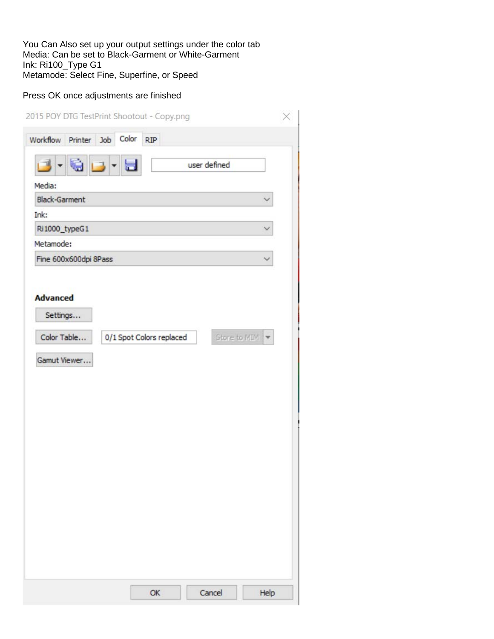You Can Also set up your output settings under the color tab Media: Can be set to Black-Garment or White-Garment Ink: Ri100\_Type G1 Metamode: Select Fine, Superfine, or Speed

#### Press OK once adjustments are finished

| <b>GB</b><br>$\blacksquare$<br>user defined<br>Media:<br><b>Black-Garment</b><br>Ink:<br>Ri1000_typeG1<br>Metamode:<br>Fine 600x600dpi 8Pass<br><b>Advanced</b><br>Settings<br>Store to MIM<br>Color Table<br>0/1 Spot Colors replaced<br>Gamut Viewer | Color<br>Workflow Printer Job<br><b>RIP</b> |  |
|--------------------------------------------------------------------------------------------------------------------------------------------------------------------------------------------------------------------------------------------------------|---------------------------------------------|--|
|                                                                                                                                                                                                                                                        |                                             |  |
|                                                                                                                                                                                                                                                        |                                             |  |
|                                                                                                                                                                                                                                                        |                                             |  |
|                                                                                                                                                                                                                                                        |                                             |  |
|                                                                                                                                                                                                                                                        |                                             |  |
|                                                                                                                                                                                                                                                        |                                             |  |
|                                                                                                                                                                                                                                                        |                                             |  |
|                                                                                                                                                                                                                                                        |                                             |  |
|                                                                                                                                                                                                                                                        |                                             |  |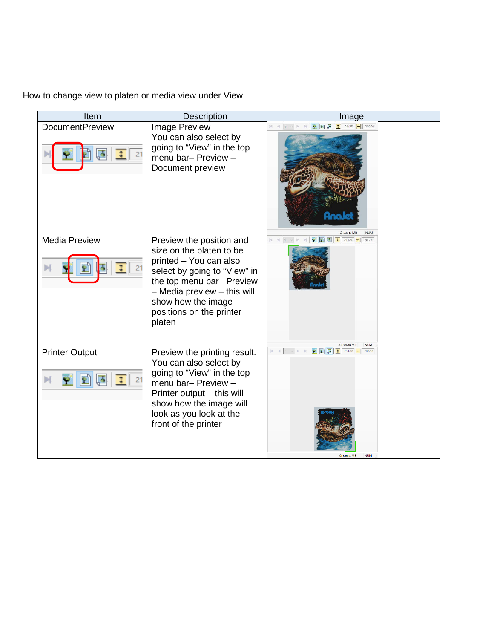How to change view to platen or media view under View

| Item                   | Description                                                                                                                                                                                                                            | Image                                                                                                                                                                                                                                                                                                                                                                                                                                                                    |
|------------------------|----------------------------------------------------------------------------------------------------------------------------------------------------------------------------------------------------------------------------------------|--------------------------------------------------------------------------------------------------------------------------------------------------------------------------------------------------------------------------------------------------------------------------------------------------------------------------------------------------------------------------------------------------------------------------------------------------------------------------|
| <b>DocumentPreview</b> | Image Preview<br>You can also select by<br>going to "View" in the top<br>menu bar- Preview -<br>Document preview                                                                                                                       | $\begin{array}{ c c c c c }\hline \textbf{P} & \textbf{E} & \textbf{I} & \textbf{I} & \textbf{I} & \textbf{I} & \textbf{I} & \textbf{I} & \textbf{I} & \textbf{I} & \textbf{I} \\ \hline \textbf{P} & \textbf{E} & \textbf{E} & \textbf{I} & \textbf{I} & \textbf{I} & \textbf{I} & \textbf{I} & \textbf{I} & \textbf{I} & \textbf{I} & \textbf{I} & \textbf{I} & \textbf{I} & \textbf{I} & \textbf{I} & \textbf{I} & \text$<br>$ 4 $ $ 4 $<br><b>NUM</b><br>C: 88649 MB |
| <b>Media Preview</b>   | Preview the position and<br>size on the platen to be<br>printed - You can also<br>select by going to "View" in<br>the top menu bar- Preview<br>- Media preview - this will<br>show how the image<br>positions on the printer<br>platen | $\rightarrow$ 200.00<br>區<br>$\mathbf{1}$<br>214.50<br><b>NUM</b>                                                                                                                                                                                                                                                                                                                                                                                                        |
| <b>Printer Output</b>  | Preview the printing result.<br>You can also select by<br>going to "View" in the top<br>menu bar- Preview -<br>Printer output - this will<br>show how the image will<br>look as you look at the<br>front of the printer                | $1 - \sqrt{P}$<br>9日日<br>$\mathbb{N}$<br>$\frac{1}{2}$ 214.50<br>200.00                                                                                                                                                                                                                                                                                                                                                                                                  |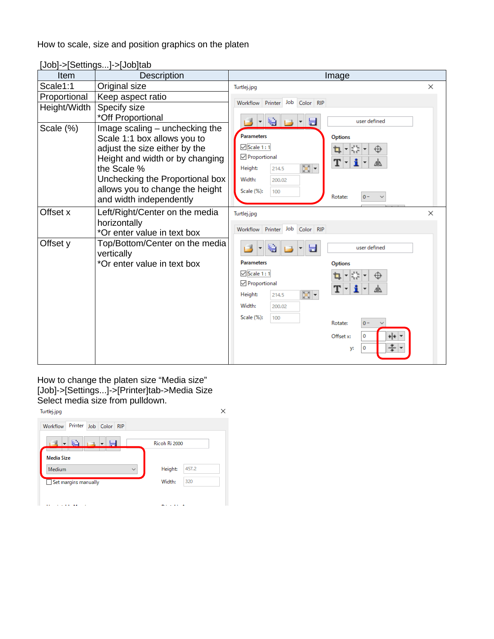How to scale, size and position graphics on the platen

|              | υυυ]−∠[∪∪ιι⊪ιឫɔ…]−∠[υ∪υ]ιαυ                  |                                                                               |   |
|--------------|----------------------------------------------|-------------------------------------------------------------------------------|---|
| Item         | <b>Description</b>                           | Image                                                                         |   |
| Scale1:1     | Original size                                | Turtlej.jpg                                                                   | X |
| Proportional | Keep aspect ratio                            | Workflow Printer Job Color RIP                                                |   |
| Height/Width | Specify size                                 |                                                                               |   |
|              | *Off Proportional                            | tė.<br>$\blacksquare$<br>user defined<br>$\blacktriangledown$<br><b>Latin</b> |   |
| Scale (%)    | Image scaling - unchecking the               |                                                                               |   |
|              | Scale 1:1 box allows you to                  | <b>Parameters</b><br><b>Options</b>                                           |   |
|              | adjust the size either by the                | $\boxtimes$ Scale 1:1<br>$\oplus$                                             |   |
|              | Height and width or by changing              | Proportional<br>$\mathbf{T}$ -<br>ΔΔ                                          |   |
|              | the Scale %                                  | $\mathbb{E}$ -<br>Height:<br>214.5                                            |   |
|              | Unchecking the Proportional box              | Width:<br>200.02                                                              |   |
|              | allows you to change the height              | Scale (%):<br>100<br>Rotate:<br>$0 -$                                         |   |
|              | and width independently                      |                                                                               |   |
| Offset x     | Left/Right/Center on the media               | Turtlej.jpg                                                                   | X |
|              | horizontally                                 | Job Color RIP<br>Workflow Printer                                             |   |
|              | *Or enter value in text box                  |                                                                               |   |
| Offset y     | Top/Bottom/Center on the media<br>vertically | user defined<br>G<br>圖                                                        |   |
|              | *Or enter value in text box                  | <b>Parameters</b><br><b>Options</b>                                           |   |
|              |                                              | $\sqrt{\text{Scale}}$ 1:1<br>K.<br>⊕                                          |   |
|              |                                              | Proportional<br>ΔΔ                                                            |   |
|              |                                              | $\mathbb{E}$ -<br>Height:<br>214.5                                            |   |
|              |                                              | Width:<br>200.02                                                              |   |
|              |                                              | Scale (%):<br>100<br>$0 -$<br>Rotate:                                         |   |
|              |                                              | $+ + +$<br>$\mathbf 0$<br>Offset x:                                           |   |
|              |                                              | $\frac{*}{*}$  -<br>$\mathbf 0$<br>y:                                         |   |

#### [Job]->[Settings...]->[Job]tab

How to change the platen size "Media size" [Job]->[Settings...]->[Printer]tab->Media Size Select media size from pulldown.

| $-15$<br>「司            | Ricoh Ri 2000 |       |
|------------------------|---------------|-------|
| <b>Media Size</b>      |               |       |
| Medium<br>$\checkmark$ | Height:       | 457.2 |
| Set margins manually   | Width:        | 320   |

 $\times$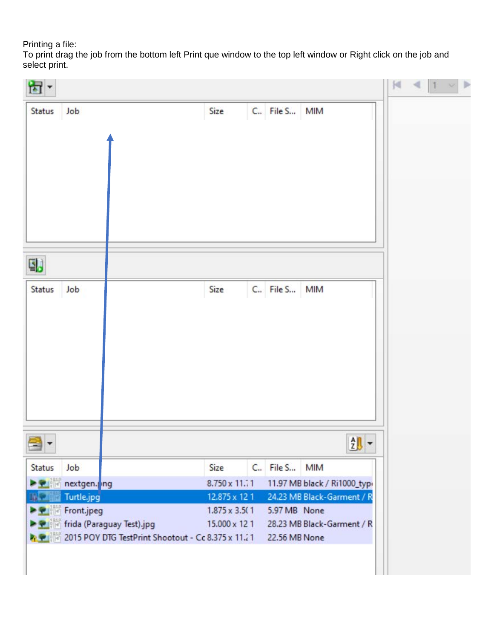Printing a file:

To print drag the job from the bottom left Print que window to the top left window or Right click on the job and select print.

| Status                 | Job                                         | Size                                  | C., File S, MIM |              |                              |   |  |  |
|------------------------|---------------------------------------------|---------------------------------------|-----------------|--------------|------------------------------|---|--|--|
|                        |                                             |                                       |                 |              |                              |   |  |  |
|                        |                                             |                                       |                 |              |                              |   |  |  |
|                        |                                             |                                       |                 |              |                              |   |  |  |
|                        |                                             |                                       |                 |              |                              |   |  |  |
|                        |                                             |                                       |                 |              |                              |   |  |  |
|                        |                                             |                                       |                 |              |                              |   |  |  |
|                        |                                             |                                       |                 |              |                              |   |  |  |
| 围                      |                                             |                                       |                 |              |                              |   |  |  |
|                        |                                             |                                       |                 |              |                              |   |  |  |
| <b>Status</b>          | Job                                         | Size                                  | C., File S, MIM |              |                              |   |  |  |
|                        |                                             |                                       |                 |              |                              |   |  |  |
|                        |                                             |                                       |                 |              |                              |   |  |  |
|                        |                                             |                                       |                 |              |                              |   |  |  |
|                        |                                             |                                       |                 |              |                              |   |  |  |
|                        |                                             |                                       |                 |              |                              |   |  |  |
|                        |                                             |                                       |                 |              |                              |   |  |  |
|                        |                                             |                                       |                 |              |                              |   |  |  |
|                        |                                             |                                       |                 |              |                              |   |  |  |
|                        |                                             |                                       |                 |              |                              |   |  |  |
| ▼<br><b>AND</b>        |                                             |                                       |                 |              |                              | 缈 |  |  |
| Status                 | Job                                         | Size                                  | C. File S       |              | <b>MIM</b>                   |   |  |  |
|                        | <b>De Reine nextgen.</b> Ing                | $8.750 \times 11.71$                  |                 |              | 11.97 MB black / Ri1000_typi |   |  |  |
| WRI                    | Turtle.jpg                                  | 12.875 x 12 1                         |                 |              | 24.23 MB Black-Garment / R   |   |  |  |
| <b>Company Company</b> | Front.jpeg<br>> < frida (Paraguay Test).jpg | $1.875 \times 3.511$<br>15.000 x 12 1 |                 | 5.97 MB None | 28.23 MB Black-Garment / R   |   |  |  |